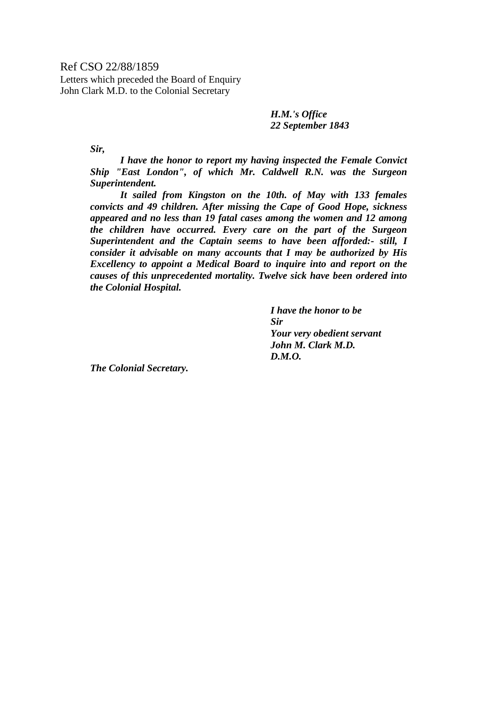Ref CSO 22/88/1859 Letters which preceded the Board of Enquiry

John Clark M.D. to the Colonial Secretary

*H.M.'s Office 22 September 1843* 

*Sir,* 

 *I have the honor to report my having inspected the Female Convict Ship "East London", of which Mr. Caldwell R.N. was the Surgeon Superintendent.* 

 *It sailed from Kingston on the 10th. of May with 133 females convicts and 49 children. After missing the Cape of Good Hope, sickness appeared and no less than 19 fatal cases among the women and 12 among the children have occurred. Every care on the part of the Surgeon Superintendent and the Captain seems to have been afforded:- still, I consider it advisable on many accounts that I may be authorized by His Excellency to appoint a Medical Board to inquire into and report on the causes of this unprecedented mortality. Twelve sick have been ordered into the Colonial Hospital.* 

> *I have the honor to be Sir Your very obedient servant John M. Clark M.D. D.M.O.*

*The Colonial Secretary.*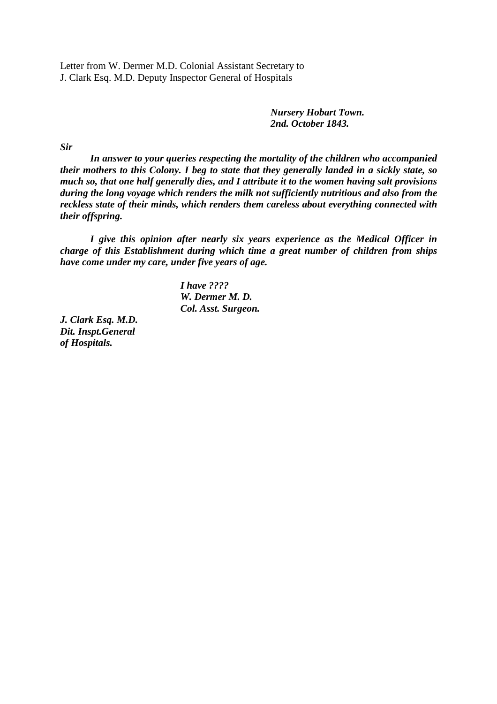Letter from W. Dermer M.D. Colonial Assistant Secretary to J. Clark Esq. M.D. Deputy Inspector General of Hospitals

> *Nursery Hobart Town. 2nd. October 1843.*

*Sir* 

 *In answer to your queries respecting the mortality of the children who accompanied their mothers to this Colony. I beg to state that they generally landed in a sickly state, so much so, that one half generally dies, and I attribute it to the women having salt provisions during the long voyage which renders the milk not sufficiently nutritious and also from the reckless state of their minds, which renders them careless about everything connected with their offspring.* 

 *I give this opinion after nearly six years experience as the Medical Officer in charge of this Establishment during which time a great number of children from ships have come under my care, under five years of age.* 

> *I have ???? W. Dermer M. D. Col. Asst. Surgeon.*

*J. Clark Esq. M.D. Dit. Inspt.General of Hospitals.*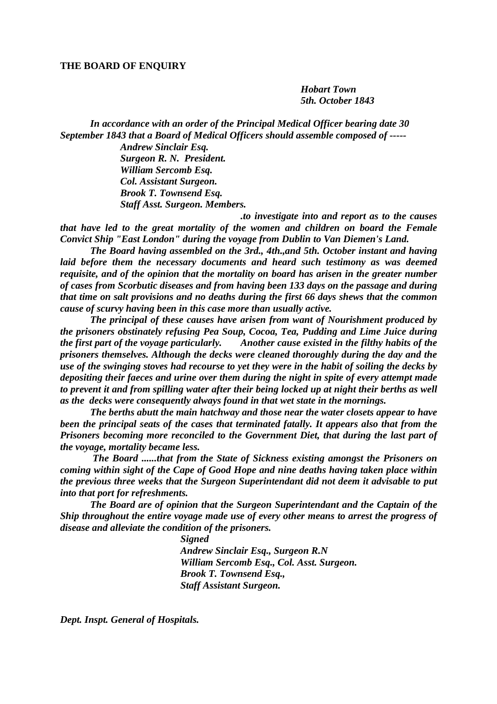## **THE BOARD OF ENQUIRY**

*Hobart Town 5th. October 1843* 

*In accordance with an order of the Principal Medical Officer bearing date 30 September 1843 that a Board of Medical Officers should assemble composed of -----* 

> *Andrew Sinclair Esq. Surgeon R. N. President. William Sercomb Esq. Col. Assistant Surgeon. Brook T. Townsend Esq. Staff Asst. Surgeon. Members.*

 *.to investigate into and report as to the causes that have led to the great mortality of the women and children on board the Female Convict Ship "East London" during the voyage from Dublin to Van Diemen's Land.* 

 *The Board having assembled on the 3rd., 4th.,and 5th. October instant and having laid before them the necessary documents and heard such testimony as was deemed requisite, and of the opinion that the mortality on board has arisen in the greater number of cases from Scorbutic diseases and from having been 133 days on the passage and during that time on salt provisions and no deaths during the first 66 days shews that the common cause of scurvy having been in this case more than usually active.* 

 *The principal of these causes have arisen from want of Nourishment produced by the prisoners obstinately refusing Pea Soup, Cocoa, Tea, Pudding and Lime Juice during the first part of the voyage particularly. Another cause existed in the filthy habits of the prisoners themselves. Although the decks were cleaned thoroughly during the day and the use of the swinging stoves had recourse to yet they were in the habit of soiling the decks by depositing their faeces and urine over them during the night in spite of every attempt made to prevent it and from spilling water after their being locked up at night their berths as well as the decks were consequently always found in that wet state in the mornings.* 

 *The berths abutt the main hatchway and those near the water closets appear to have been the principal seats of the cases that terminated fatally. It appears also that from the Prisoners becoming more reconciled to the Government Diet, that during the last part of the voyage, mortality became less.* 

 *The Board ......that from the State of Sickness existing amongst the Prisoners on coming within sight of the Cape of Good Hope and nine deaths having taken place within the previous three weeks that the Surgeon Superintendant did not deem it advisable to put into that port for refreshments.* 

 *The Board are of opinion that the Surgeon Superintendant and the Captain of the Ship throughout the entire voyage made use of every other means to arrest the progress of disease and alleviate the condition of the prisoners.* 

> *Signed Andrew Sinclair Esq., Surgeon R.N William Sercomb Esq., Col. Asst. Surgeon. Brook T. Townsend Esq., Staff Assistant Surgeon.*

*Dept. Inspt. General of Hospitals.*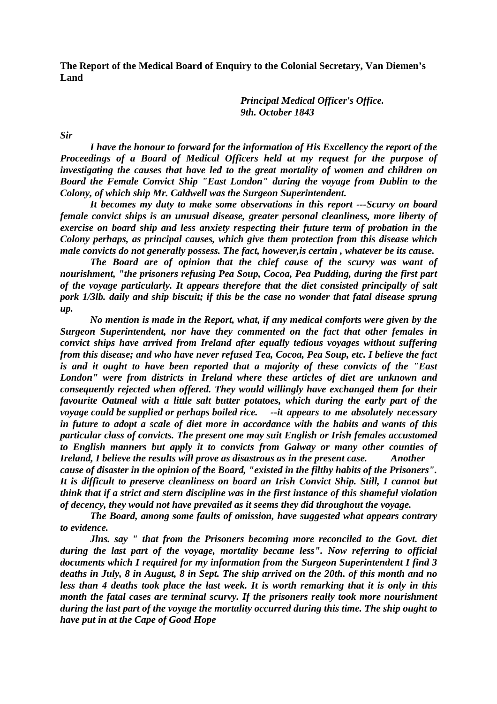**The Report of the Medical Board of Enquiry to the Colonial Secretary, Van Diemen's Land** 

> *Principal Medical Officer's Office. 9th. October 1843*

*Sir* 

 *I have the honour to forward for the information of His Excellency the report of the Proceedings of a Board of Medical Officers held at my request for the purpose of investigating the causes that have led to the great mortality of women and children on Board the Female Convict Ship "East London" during the voyage from Dublin to the Colony, of which ship Mr. Caldwell was the Surgeon Superintendent.* 

 *It becomes my duty to make some observations in this report ---Scurvy on board female convict ships is an unusual disease, greater personal cleanliness, more liberty of exercise on board ship and less anxiety respecting their future term of probation in the Colony perhaps, as principal causes, which give them protection from this disease which male convicts do not generally possess. The fact, however,is certain , whatever be its cause.* 

 *The Board are of opinion that the chief cause of the scurvy was want of nourishment, "the prisoners refusing Pea Soup, Cocoa, Pea Pudding, during the first part of the voyage particularly. It appears therefore that the diet consisted principally of salt pork 1/3lb. daily and ship biscuit; if this be the case no wonder that fatal disease sprung up.* 

 *No mention is made in the Report, what, if any medical comforts were given by the Surgeon Superintendent, nor have they commented on the fact that other females in convict ships have arrived from Ireland after equally tedious voyages without suffering from this disease; and who have never refused Tea, Cocoa, Pea Soup, etc. I believe the fact is and it ought to have been reported that a majority of these convicts of the "East London" were from districts in Ireland where these articles of diet are unknown and consequently rejected when offered. They would willingly have exchanged them for their favourite Oatmeal with a little salt butter potatoes, which during the early part of the voyage could be supplied or perhaps boiled rice. --it appears to me absolutely necessary in future to adopt a scale of diet more in accordance with the habits and wants of this particular class of convicts. The present one may suit English or Irish females accustomed to English manners but apply it to convicts from Galway or many other counties of Ireland, I believe the results will prove as disastrous as in the present case. Another cause of disaster in the opinion of the Board, "existed in the filthy habits of the Prisoners". It is difficult to preserve cleanliness on board an Irish Convict Ship. Still, I cannot but think that if a strict and stern discipline was in the first instance of this shameful violation of decency, they would not have prevailed as it seems they did throughout the voyage.* 

 *The Board, among some faults of omission, have suggested what appears contrary to evidence.* 

 *Jlns. say " that from the Prisoners becoming more reconciled to the Govt. diet during the last part of the voyage, mortality became less". Now referring to official documents which I required for my information from the Surgeon Superintendent I find 3 deaths in July, 8 in August, 8 in Sept. The ship arrived on the 20th. of this month and no less than 4 deaths took place the last week. It is worth remarking that it is only in this month the fatal cases are terminal scurvy. If the prisoners really took more nourishment during the last part of the voyage the mortality occurred during this time. The ship ought to have put in at the Cape of Good Hope*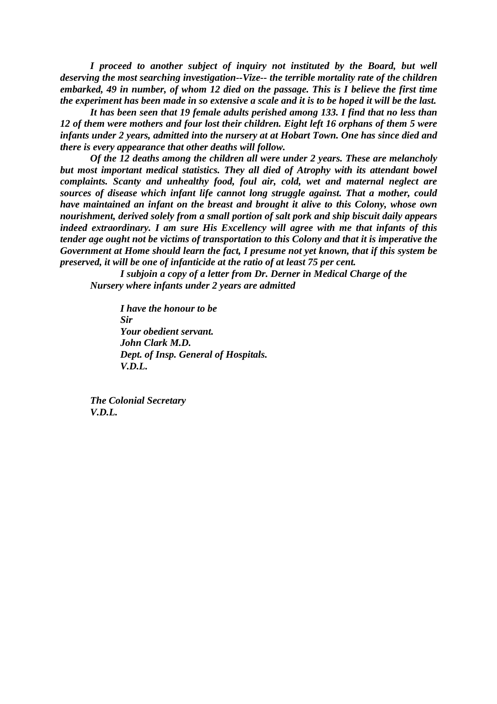*I proceed to another subject of inquiry not instituted by the Board, but well deserving the most searching investigation--Vize-- the terrible mortality rate of the children embarked, 49 in number, of whom 12 died on the passage. This is I believe the first time the experiment has been made in so extensive a scale and it is to be hoped it will be the last.* 

*It has been seen that 19 female adults perished among 133. I find that no less than 12 of them were mothers and four lost their children. Eight left 16 orphans of them 5 were infants under 2 years, admitted into the nursery at at Hobart Town. One has since died and there is every appearance that other deaths will follow.* 

*Of the 12 deaths among the children all were under 2 years. These are melancholy but most important medical statistics. They all died of Atrophy with its attendant bowel complaints. Scanty and unhealthy food, foul air, cold, wet and maternal neglect are sources of disease which infant life cannot long struggle against. That a mother, could have maintained an infant on the breast and brought it alive to this Colony, whose own nourishment, derived solely from a small portion of salt pork and ship biscuit daily appears indeed extraordinary. I am sure His Excellency will agree with me that infants of this tender age ought not be victims of transportation to this Colony and that it is imperative the Government at Home should learn the fact, I presume not yet known, that if this system be preserved, it will be one of infanticide at the ratio of at least 75 per cent.* 

 *I subjoin a copy of a letter from Dr. Derner in Medical Charge of the Nursery where infants under 2 years are admitted* 

*I have the honour to be Sir Your obedient servant. John Clark M.D. Dept. of Insp. General of Hospitals. V.D.L.* 

*The Colonial Secretary V.D.L.*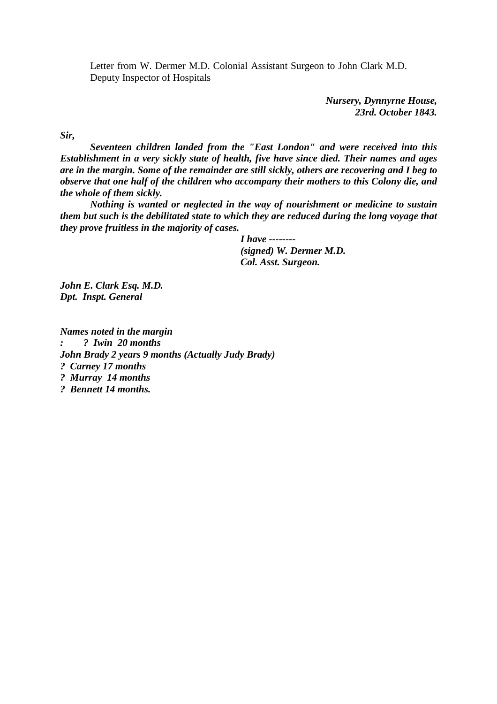Letter from W. Dermer M.D. Colonial Assistant Surgeon to John Clark M.D. Deputy Inspector of Hospitals

> *Nursery, Dynnyrne House, 23rd. October 1843.*

*Sir,* 

 *Seventeen children landed from the "East London" and were received into this Establishment in a very sickly state of health, five have since died. Their names and ages are in the margin. Some of the remainder are still sickly, others are recovering and I beg to observe that one half of the children who accompany their mothers to this Colony die, and the whole of them sickly.* 

 *Nothing is wanted or neglected in the way of nourishment or medicine to sustain them but such is the debilitated state to which they are reduced during the long voyage that they prove fruitless in the majority of cases.* 

> *I have -------- (signed) W. Dermer M.D. Col. Asst. Surgeon.*

*John E. Clark Esq. M.D. Dpt. Inspt. General* 

*Names noted in the margin : ? Iwin 20 months John Brady 2 years 9 months (Actually Judy Brady) ? Carney 17 months ? Murray 14 months ? Bennett 14 months.*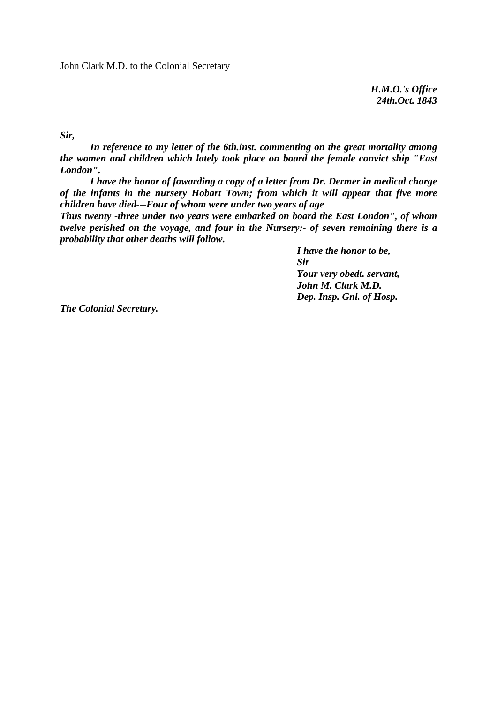*H.M.O.'s Office 24th.Oct. 1843* 

*Sir,* 

 *In reference to my letter of the 6th.inst. commenting on the great mortality among the women and children which lately took place on board the female convict ship "East London".* 

 *I have the honor of fowarding a copy of a letter from Dr. Dermer in medical charge of the infants in the nursery Hobart Town; from which it will appear that five more children have died---Four of whom were under two years of age* 

*Thus twenty -three under two years were embarked on board the East London", of whom twelve perished on the voyage, and four in the Nursery:- of seven remaining there is a probability that other deaths will follow.* 

> *I have the honor to be, Sir Your very obedt. servant, John M. Clark M.D. Dep. Insp. Gnl. of Hosp.*

*The Colonial Secretary.*